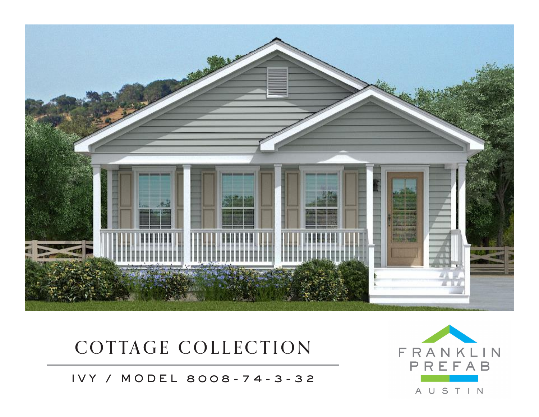

## COTTAGE COLLECTION

IVY / MODEL 8008-74-3-32